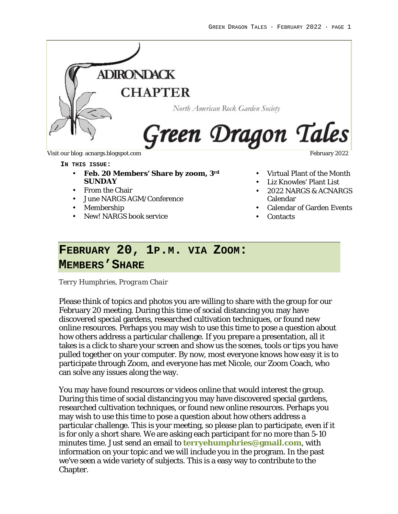

#### **IN THIS ISSUE:**

- **Feb. 20 Members' Share by zoom, 3rd SUNDAY**
- From the Chair
- June NARGS AGM/Conference
- Membership
- New! NARGS book service

- Virtual Plant of the Month
- Liz Knowles' Plant List
- 2022 NARGS & ACNARGS Calendar
- Calendar of Garden Events
- Contacts

## **FEBRUARY 20, 1P.M. VIA ZOOM:**

### **MEMBERS'SHARE**

*Terry Humphries, Program Chair*

Please think of topics and photos you are willing to share with the group for our February 20 meeting. During this time of social distancing you may have discovered special gardens, researched cultivation techniques, or found new online resources. Perhaps you may wish to use this time to pose a question about how others address a particular challenge. If you prepare a presentation, all it takes is a click to share your screen and show us the scenes, tools or tips you have pulled together on your computer. By now, most everyone knows how easy it is to participate through Zoom, and everyone has met Nicole, our Zoom Coach, who can solve any issues along the way.

You may have found resources or videos online that would interest the group. During this time of social distancing you may have discovered special gardens, researched cultivation techniques, or found new online resources. Perhaps you may wish to use this time to pose a question about how others address a particular challenge. This is your meeting, so please plan to participate, even if it is for only a short share. We are asking each participant for no more than 5-10 minutes time. Just send an email to **terryehumphries@gmail.com**, with information on your topic and we will include you in the program. In the past we've seen a wide variety of subjects. This is a easy way to contribute to the Chapter.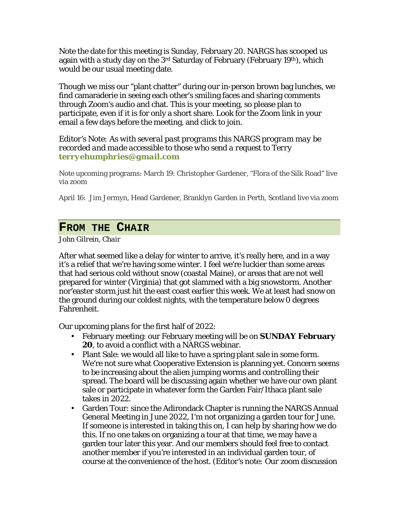Note the date for this meeting is Sunday, February 20. NARGS has scooped us again with a study day on the 3<sup>rd</sup> Saturday of February (February 19<sup>th</sup>), which would be our usual meeting date.

Though we miss our "plant chatter" during our in-person brown bag lunches, we find camaraderie in seeing each other's smiling faces and sharing comments through Zoom's audio and chat. This is your meeting, so please plan to participate, even if it is for only a short share. Look for the Zoom link in your email a few days before the meeting, and click to join.

*Editor's Note: As with several past programs this NARGS program may be recorded and made accessible to those who send a request to Terry terryehumphries@gmail.com*

Note upcoming programs: March 19: Christopher Gardener, "Flora of the Silk Road" live via zoom

April 16: Jim Jermyn, Head Gardener, Branklyn Garden in Perth, Scotland live via zoom

### **FROM THE CHAIR**

*John Gilrein, Chair*

After what seemed like a delay for winter to arrive, it's really here, and in a way it's a relief that we're having some winter. I feel we're luckier than some areas that had serious cold without snow (coastal Maine), or areas that are not well prepared for winter (Virginia) that got slammed with a big snowstorm. Another nor'easter storm just hit the east coast earlier this week. We at least had snow on the ground during our coldest nights, with the temperature below 0 degrees Fahrenheit.

Our upcoming plans for the first half of 2022:

- February meeting: our February meeting will be on **SUNDAY February 20**, to avoid a conflict with a NARGS webinar.
- Plant Sale: we would all like to have a spring plant sale in some form. We're not sure what Cooperative Extension is planning yet. Concern seems to be increasing about the alien jumping worms and controlling their spread. The board will be discussing again whether we have our own plant sale or participate in whatever form the Garden Fair/Ithaca plant sale takes in 2022.
- Garden Tour: since the Adirondack Chapter is running the NARGS Annual General Meeting in June 2022, I'm not organizing a garden tour for June. If someone is interested in taking this on, I can help by sharing how we do this. If no one takes on organizing a tour at that time, we may have a garden tour later this year. And our members should feel free to contact another member if you're interested in an individual garden tour, of course at the convenience of the host. *(Editor's note: Our zoom discussion*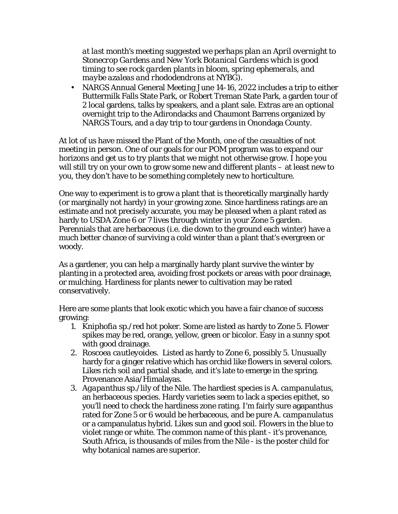*at last month's meeting suggested we perhaps plan an April overnight to Stonecrop Gardens and New York Botanical Gardens which is good timing to see rock garden plants in bloom, spring ephemerals, and maybe azaleas and rhododendrons at NYBG).*

• NARGS Annual General Meeting June 14-16, 2022 includes a trip to either Buttermilk Falls State Park, or Robert Treman State Park, a garden tour of 2 local gardens, talks by speakers, and a plant sale. Extras are an optional overnight trip to the Adirondacks and Chaumont Barrens organized by NARGS Tours, and a day trip to tour gardens in Onondaga County.

At lot of us have missed the Plant of the Month, one of the casualties of not meeting in person. One of our goals for our POM program was to expand our horizons and get us to try plants that we might not otherwise grow. I hope you will still try on your own to grow some new and different plants – at least new to you, they don't have to be something completely new to horticulture.

One way to experiment is to grow a plant that is theoretically marginally hardy (or marginally not hardy) in your growing zone. Since hardiness ratings are an estimate and not precisely accurate, you may be pleased when a plant rated as hardy to USDA Zone 6 or 7 lives through winter in your Zone 5 garden. Perennials that are herbaceous (i.e. die down to the ground each winter) have a much better chance of surviving a cold winter than a plant that's evergreen or woody.

As a gardener, you can help a marginally hardy plant survive the winter by planting in a protected area, avoiding frost pockets or areas with poor drainage, or mulching. Hardiness for plants newer to cultivation may be rated conservatively.

Here are some plants that look exotic which you have a fair chance of success growing:

- 1. *Kniphofia sp.*/red hot poker. Some are listed as hardy to Zone 5. Flower spikes may be red, orange, yellow, green or bicolor. Easy in a sunny spot with good drainage.
- 2. *Roscoea cautleyoides.* Listed as hardy to Zone 6, possibly 5. Unusually hardy for a ginger relative which has orchid like flowers in several colors. Likes rich soil and partial shade, and it's late to emerge in the spring. Provenance Asia/Himalayas.
- 3. *Agapanthus sp.*/lily of the Nile. The hardiest species is *A. campanulatus*, an herbaceous species. Hardy varieties seem to lack a species epithet, so you'll need to check the hardiness zone rating. I'm fairly sure agapanthus rated for Zone 5 or 6 would be herbaceous, and be pure *A. campanulatus* or a campanulatus hybrid. Likes sun and good soil. Flowers in the blue to violet range or white. The common name of this plant - it's provenance, South Africa, is thousands of miles from the Nile - is the poster child for why botanical names are superior.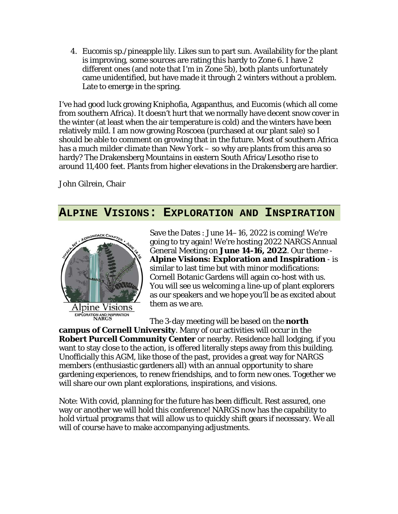4. *Eucomis sp.*/pineapple lily. Likes sun to part sun. Availability for the plant is improving, some sources are rating this hardy to Zone 6. I have 2 different ones (and note that I'm in Zone 5b), both plants unfortunately came unidentified, but have made it through 2 winters without a problem. Late to emerge in the spring.

I've had good luck growing Kniphofia, Agapanthus, and Eucomis (which all come from southern Africa). It doesn't hurt that we normally have decent snow cover in the winter (at least when the air temperature is cold) and the winters have been relatively mild. I am now growing Roscoea (purchased at our plant sale) so I should be able to comment on growing that in the future. Most of southern Africa has a much milder climate than New York – so why are plants from this area so hardy? The Drakensberg Mountains in eastern South Africa/Lesotho rise to around 11,400 feet. Plants from higher elevations in the Drakensberg are hardier.

John Gilrein, Chair

### **ALPINE VISIONS: EXPLORATION AND INSPIRATION**



Save the Dates : June 14–16, 2022 is coming! We're going to try again! We're hosting 2022 NARGS Annual General Meeting on **June 14-16, 2022**. Our theme - **Alpine Visions: Exploration and Inspiration** - is similar to last time but with minor modifications: Cornell Botanic Gardens will again co-host with us. You will see us welcoming a line-up of plant explorers as our speakers and we hope you'll be as excited about them as we are.

The 3-day meeting will be based on the **north campus of Cornell University**. Many of our activities will occur in the **Robert Purcell Community Center** or nearby. Residence hall lodging, if you want to stay close to the action, is offered literally steps away from this building. Unofficially this AGM, like those of the past, provides a great way for NARGS members (enthusiastic gardeners all) with an annual opportunity to share gardening experiences, to renew friendships, and to form new ones. Together we will share our own plant explorations, inspirations, and visions.

Note: With covid, planning for the future has been difficult. Rest assured, one way or another we will hold this conference! NARGS now has the capability to hold virtual programs that will allow us to quickly shift gears if necessary. We all will of course have to make accompanying adjustments.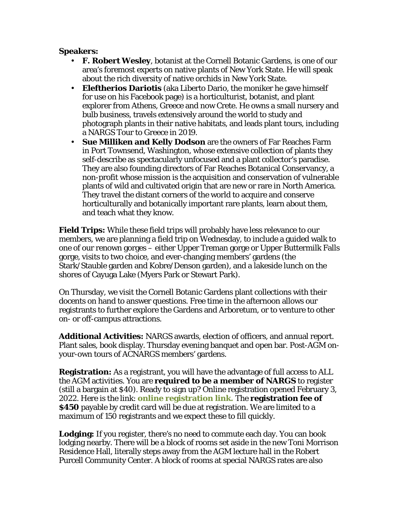**Speakers:**

- **F. Robert Wesley**, botanist at the Cornell Botanic Gardens, is one of our area's foremost experts on native plants of New York State. He will speak about the rich diversity of native orchids in New York State.
- **Eleftherios Dariotis** (aka Liberto Dario, the moniker he gave himself for use on his Facebook page) is a horticulturist, botanist, and plant explorer from Athens, Greece and now Crete. He owns a small nursery and bulb business, travels extensively around the world to study and photograph plants in their native habitats, and leads plant tours, including a NARGS Tour to Greece in 2019.
- **Sue Milliken and Kelly Dodson** are the owners of Far Reaches Farm in Port Townsend, Washington, whose extensive collection of plants they self-describe as spectacularly unfocused and a plant collector's paradise. They are also founding directors of Far Reaches Botanical Conservancy, a non-profit whose mission is the acquisition and conservation of vulnerable plants of wild and cultivated origin that are new or rare in North America. They travel the distant corners of the world to acquire and conserve horticulturally and botanically important rare plants, learn about them, and teach what they know.

**Field Trips:** While these field trips will probably have less relevance to our members, we are planning a field trip on Wednesday, to include a guided walk to one of our renown gorges – either Upper Treman gorge or Upper Buttermilk Falls gorge, visits to two choice, and ever-changing members' gardens (the Stark/Stauble garden and Kobre/Denson garden), and a lakeside lunch on the shores of Cayuga Lake (Myers Park or Stewart Park).

On Thursday, we visit the Cornell Botanic Gardens plant collections with their docents on hand to answer questions. Free time in the afternoon allows our registrants to further explore the Gardens and Arboretum, or to venture to other on- or off-campus attractions.

**Additional Activities:** NARGS awards, election of officers, and annual report. Plant sales, book display. Thursday evening banquet and open bar. Post-AGM onyour-own tours of ACNARGS members' gardens.

**Registration:** As a registrant, you will have the advantage of full access to ALL the AGM activities. You are **required to be a member of NARGS** to register (still a bargain at \$40). Ready to sign up? Online registration opened February 3, 2022. Here is the link: **online registration link.** The **registration fee of \$450** payable by credit card will be due at registration. We are limited to a maximum of 150 registrants and we expect these to fill quickly.

**Lodging:** If you register, there's no need to commute each day. You can book lodging nearby. There will be a block of rooms set aside in the new Toni Morrison Residence Hall, literally steps away from the AGM lecture hall in the Robert Purcell Community Center. A block of rooms at special NARGS rates are also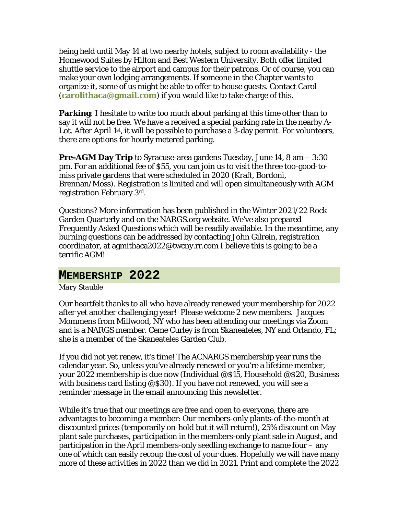being held until May 14 at two nearby hotels, subject to room availability - the Homewood Suites by Hilton and Best Western University. Both offer limited shuttle service to the airport and campus for their patrons. Or of course, you can make your own lodging arrangements. If someone in the Chapter wants to organize it, some of us might be able to offer to house guests. Contact Carol (**carolithaca@gmail.com**) if you would like to take charge of this.

**Parking**: I hesitate to write too much about parking at this time other than to say it will not be free. We have a received a special parking rate in the nearby A-Lot. After April 1<sup>st</sup>, it will be possible to purchase a 3-day permit. For volunteers, there are options for hourly metered parking.

**Pre-AGM Day Trip** to Syracuse-area gardens Tuesday, June 14, 8 am – 3:30 pm. For an additional fee of \$55, you can join us to visit the three too-good-tomiss private gardens that were scheduled in 2020 (Kraft, Bordoni, Brennan/Moss). Registration is limited and will open simultaneously with AGM registration February 3rd.

Questions? More information has been published in the Winter 2021/22 Rock Garden Quarterly and on the NARGS.org website. We've also prepared Frequently Asked Questions which will be readily available. In the meantime, any burning questions can be addressed by contacting John Gilrein, registration coordinator, at agmithaca2022@twcny.rr.com I believe this is going to be a terrific AGM!

### **MEMBERSHIP 2022**

### *Mary Stauble*

Our heartfelt thanks to all who have already renewed your membership for 2022 after yet another challenging year! Please welcome 2 new members. Jacques Mommens from Millwood, NY who has been attending our meetings via Zoom and is a NARGS member. Ceme Curley is from Skaneateles, NY and Orlando, FL; she is a member of the Skaneateles Garden Club.

If you did not yet renew, it's time! The ACNARGS membership year runs the calendar year. So, unless you've already renewed or you're a lifetime member, your 2022 membership is due now (Individual @\$15, Household @\$20, Business with business card listing @\$30). If you have not renewed, you will see a reminder message in the email announcing this newsletter.

While it's true that our meetings are free and open to everyone, there are advantages to becoming a member: Our members-only plants-of-the-month at discounted prices (temporarily on-hold but it will return!), 25% discount on May plant sale purchases, participation in the members-only plant sale in August, and participation in the April members-only seedling exchange to name four – any one of which can easily recoup the cost of your dues. Hopefully we will have many more of these activities in 2022 than we did in 2021. Print and complete the 2022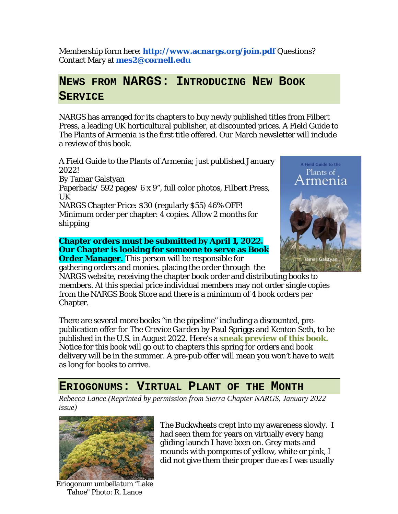Membership form here: **http://www.acnargs.org/join.pdf** Questions? Contact Mary at **mes2@cornell.edu**

# **NEWS FROM NARGS: INTRODUCING NEW BOOK SERVICE**

NARGS has arranged for its chapters to buy newly published titles from Filbert Press, a leading UK horticultural publisher, at discounted prices. *A Field Guide to The Plants of Armenia* is the first title offered. Our March newsletter will include a review of this book.

A Field Guide to the Plants of Armenia; just published January 2022!

By Tamar Galstyan

Paperback/ 592 pages/ 6 x 9", full color photos, Filbert Press, UK

NARGS Chapter Price: \$30 (regularly \$55) 46% OFF! Minimum order per chapter: 4 copies. Allow 2 months for shipping

**Chapter orders must be submitted by April 1, 2022. Our Chapter is looking for someone to serve as Book Order Manager.** This person will be responsible for gathering orders and monies. placing the order through the



NARGS website, receiving the chapter book order and distributing books to members. At this special price individual members may not order single copies from the NARGS Book Store and there is a minimum of 4 book orders per Chapter.

There are several more books "in the pipeline" including a discounted, prepublication offer for The *Crevice Garden* by Paul Spriggs and Kenton Seth, to be published in the U.S. in August 2022. Here's a **sneak preview of this book.** Notice for this book will go out to chapters this spring for orders and book delivery will be in the summer. A pre-pub offer will mean you won't have to wait as long for books to arrive.

# **ERIOGONUMS: VIRTUAL PLANT OF THE MONTH**

*Rebecca Lance (Reprinted by permission from Sierra Chapter NARGS, January 2022 issue)*



*Eriogonum umbellatum* "Lake Tahoe" Photo: R. Lance

The Buckwheats crept into my awareness slowly. I had seen them for years on virtually every hang gliding launch I have been on. Grey mats and mounds with pompoms of yellow, white or pink, I did not give them their proper due as I was usually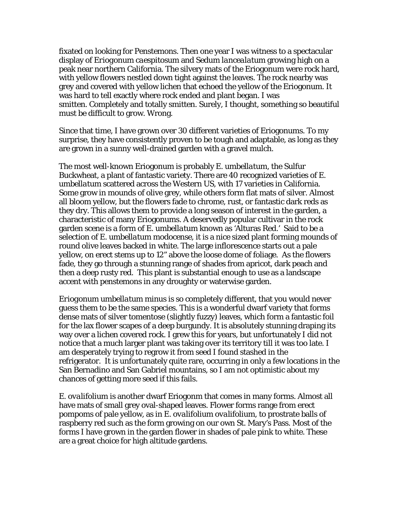fixated on looking for Penstemons. Then one year I was witness to a spectacular display of *Eriogonum caespitosum* and *Sedum lancealatum* growing high on a peak near northern California. The silvery mats of the Eriogonum were rock hard, with yellow flowers nestled down tight against the leaves. The rock nearby was grey and covered with yellow lichen that echoed the yellow of the Eriogonum. It was hard to tell exactly where rock ended and plant began. I was smitten. Completely and totally smitten. Surely, I thought, something so beautiful must be difficult to grow. Wrong.

Since that time, I have grown over 30 different varieties of Eriogonums. To my surprise, they have consistently proven to be tough and adaptable, as long as they are grown in a sunny well-drained garden with a gravel mulch.

The most well-known Eriogonum is probably *E. umbellatum*, the Sulfur Buckwheat, a plant of fantastic variety. There are 40 recognized varieties of *E. umbellatum* scattered across the Western US, with 17 varieties in California. Some grow in mounds of olive grey, while others form flat mats of silver. Almost all bloom yellow, but the flowers fade to chrome, rust, or fantastic dark reds as they dry. This allows them to provide a long season of interest in the garden, a characteristic of many Eriogonums. A deservedly popular cultivar in the rock garden scene is a form of *E. umbellatum* known as *'*Alturas Red*.'* Said to be a selection of *E. umbellatum modocense*, it is a nice sized plant forming mounds of round olive leaves backed in white. The large inflorescence starts out a pale yellow, on erect stems up to 12" above the loose dome of foliage. As the flowers fade, they go through a stunning range of shades from apricot, dark peach and then a deep rusty red. This plant is substantial enough to use as a landscape accent with penstemons in any droughty or waterwise garden.

*Eriogonum umbellatum minus* is so completely different, that you would never guess them to be the same species. This is a wonderful dwarf variety that forms dense mats of silver tomentose (slightly fuzzy) leaves, which form a fantastic foil for the lax flower scapes of a deep burgundy. It is absolutely stunning draping its way over a lichen covered rock. I grew this for years, but unfortunately I did not notice that a much larger plant was taking over its territory till it was too late. I am desperately trying to regrow it from seed I found stashed in the refrigerator. It is unfortunately quite rare, occurring in only a few locations in the San Bernadino and San Gabriel mountains, so I am not optimistic about my chances of getting more seed if this fails.

*E. ovalifolium* is another dwarf Eriogonm that comes in many forms. Almost all have mats of small grey oval-shaped leaves. Flower forms range from erect pompoms of pale yellow, as in *E. ovalifolium ovalifolium*, to prostrate balls of raspberry red such as the form growing on our own St. Mary's Pass. Most of the forms I have grown in the garden flower in shades of pale pink to white. These are a great choice for high altitude gardens.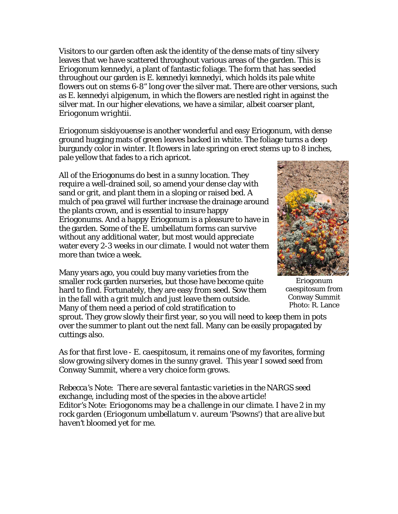Visitors to our garden often ask the identity of the dense mats of tiny silvery leaves that we have scattered throughout various areas of the garden. This is *Eriogonum kennedyi*, a plant of fantastic foliage. The form that has seeded throughout our garden is *E. kennedyi kennedyi,* which holds its pale white flowers out on stems 6-8" long over the silver mat. There are other versions, such as *E. kennedyi alpigenum,* in which the flowers are nestled right in against the silver mat. In our higher elevations, we have a similar, albeit coarser plant, *Eriogonum wrightii*.

*Eriogonum siskiyouense* is another wonderful and easy Eriogonum, with dense ground hugging mats of green leaves backed in white. The foliage turns a deep burgundy color in winter. It flowers in late spring on erect stems up to 8 inches, pale yellow that fades to a rich apricot.

All of the Eriogonums do best in a sunny location. They require a well-drained soil, so amend your dense clay with sand or grit, and plant them in a sloping or raised bed. A mulch of pea gravel will further increase the drainage around the plants crown, and is essential to insure happy Eriogonums. And a happy Eriogonum is a pleasure to have in the garden. Some of the E. umbellatum forms can survive without any additional water, but most would appreciate water every 2-3 weeks in our climate. I would not water them more than twice a week.

Many years ago, you could buy many varieties from the smaller rock garden nurseries, but those have become quite hard to find. Fortunately, they are easy from seed. Sow them in the fall with a grit mulch and just leave them outside. Many of them need a period of cold stratification to



*Eriogonum caespitosum* from Conway Summit Photo: R. Lance

sprout. They grow slowly their first year, so you will need to keep them in pots over the summer to plant out the next fall. Many can be easily propagated by cuttings also.

As for that first love - *E. caespitosum*, it remains one of my favorites, forming slow growing silvery domes in the sunny gravel. This year I sowed seed from Conway Summit, where a very choice form grows.

*Rebecca's Note: There are several fantastic varieties in the NARGS seed exchange, including most of the species in the above article! Editor's Note: Eriogonoms may be a challenge in our climate. I have 2 in my rock garden (Eriogonum umbellatum v. aureum 'Psowns') that are alive but haven't bloomed yet for me.*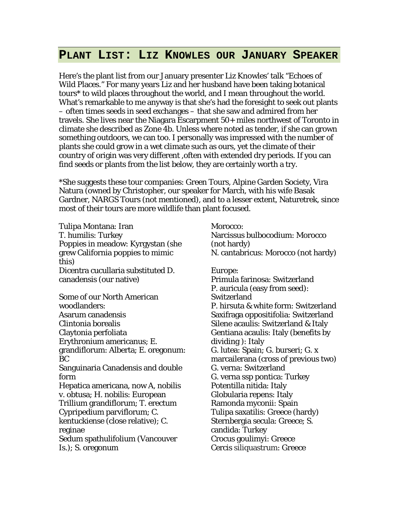## **PLANT LIST: LIZ KNOWLES OUR JANUARY SPEAKER**

Here's the plant list from our January presenter Liz Knowles' talk "Echoes of Wild Places." For many years Liz and her husband have been taking botanical tours\* to wild places throughout the world, and I mean throughout the world. What's remarkable to me anyway is that she's had the foresight to seek out plants – often times seeds in seed exchanges – that she saw and admired from her travels. She lives near the Niagara Escarpment 50+ miles northwest of Toronto in climate she described as Zone 4b. Unless where noted as tender, if she can grown something outdoors, we can too. I personally was impressed with the number of plants she could grow in a wet climate such as ours, yet the climate of their country of origin was very different ,often with extended dry periods. If you can find seeds or plants from the list below, they are certainly worth a try.

\*She suggests these tour companies: Green Tours, Alpine Garden Society, Vira Natura (owned by Christopher, our speaker for March, with his wife Basak Gardner, NARGS Tours (not mentioned), and to a lesser extent, Naturetrek, since most of their tours are more wildlife than plant focused.

Tulipa Montana: Iran T. humilis: Turkey Poppies in meadow: Kyrgystan (she grew California poppies to mimic this) Dicentra cucullaria substituted D. canadensis (our native)

Some of our North American woodlanders: Asarum canadensis Clintonia borealis Claytonia perfoliata Erythronium americanus; E. grandiflorum: Alberta; E. oregonum: BC Sanguinaria Canadensis and double form Hepatica americana, now A, nobilis v. obtusa; H. nobilis: European Trillium grandiflorum; T. erectum Cypripedium parviflorum; C. kentuckiense (close relative); C. reginae Sedum spathulifolium (Vancouver Is.); S. oregonum

Morocco:

Narcissus bulbocodium: Morocco (not hardy) N. cantabricus: Morocco (not hardy)

Europe:

Primula farinosa: Switzerland P. auricula (easy from seed): **Switzerland** P. hirsuta & white form: Switzerland Saxifraga oppositifolia: Switzerland Silene acaulis: Switzerland & Italy Gentiana acaulis: Italy (benefits by dividing ): Italy G. lutea: Spain; G. burseri; G. x marcailerana (cross of previous two) G. verna: Switzerland G. verna ssp pontica: Turkey Potentilla nitida: Italy Globularia repens: Italy Ramonda myconii: Spain Tulipa saxatilis: Greece (hardy) Sternbergia secula: Greece; S. candida: Turkey Crocus goulimyi: Greece Cercis siliquastrum: Greece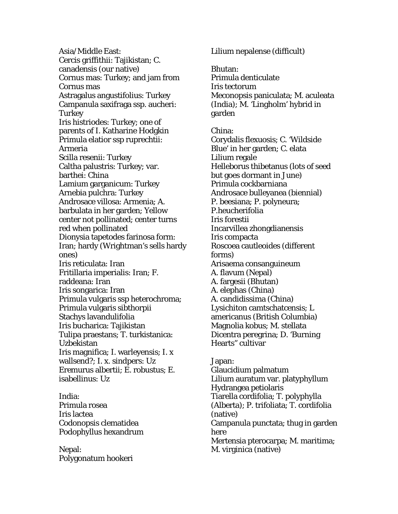Asia/Middle East: Cercis griffithii: Tajikistan; C. canadensis (our native) Cornus mas: Turkey; and jam from Cornus mas Astragalus angustifolius: Turkey Campanula saxifraga ssp. aucheri: **Turkey** Iris histriodes: Turkey; one of parents of I. Katharine Hodgkin Primula elatior ssp ruprechtii: Armeria Scilla resenii: Turkey Caltha palustris: Turkey; var. barthei: China Lamium garganicum: Turkey Arnebia pulchra: Turkey Androsace villosa: Armenia; A. barbulata in her garden; Yellow center not pollinated; center turns red when pollinated Dionysia tapetodes farinosa form: Iran; hardy (Wrightman's sells hardy ones) Iris reticulata: Iran Fritillaria imperialis: Iran; F. raddeana: Iran Iris songarica: Iran Primula vulgaris ssp heterochroma; Primula vulgaris sibthorpii Stachys lavandulifolia Iris bucharica: Tajikistan Tulipa praestans; T. turkistanica: Uzbekistan Iris magnifica; I. warleyensis; I. x wallsend?; I. x. sindpers: Uz Eremurus albertii; E. robustus; E. isabellinus: Uz

India: Primula rosea Iris lactea Codonopsis clematidea Podophyllus hexandrum

Nepal: Polygonatum hookeri Lilium nepalense (difficult)

Bhutan: Primula denticulate Iris tectorum Meconopsis paniculata; M. aculeata (India); M. 'Lingholm' hybrid in garden

China: Corydalis flexuosis; C. 'Wildside Blue' in her garden; C. elata Lilium regale Helleborus thibetanus (lots of seed but goes dormant in June) Primula cockbarniana Androsace bulleyanea (biennial) P. beesiana; P. polyneura; P.heucherifolia Iris forestii Incarvillea zhongdianensis Iris compacta Roscoea cautleoides (different forms) Arisaema consanguineum A. flavum (Nepal) A. fargesii (Bhutan) A. elephas (China) A. candidissima (China) Lysichiton camtschatcensis; L americanus (British Columbia) Magnolia kobus; M. stellata Dicentra peregrina; D. 'Burning Hearts" cultivar

Japan: Glaucidium palmatum Lilium auratum var. platyphyllum Hydrangea petiolaris Tiarella cordifolia; T. polyphylla (Alberta); P. trifoliata; T. cordifolia (native) Campanula punctata; thug in garden here Mertensia pterocarpa; M. maritima; M. virginica (native)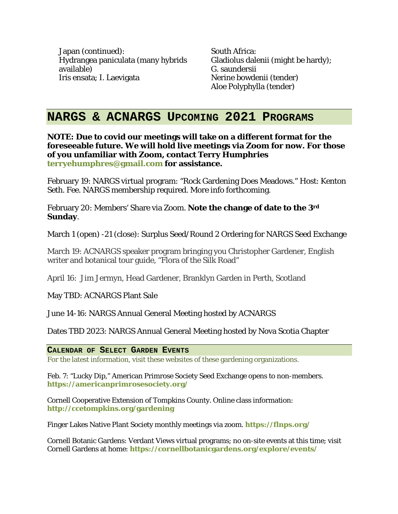Japan (continued): Hydrangea paniculata (many hybrids available) Iris ensata; I. Laevigata

South Africa: Gladiolus dalenii (might be hardy); G. saundersii Nerine bowdenii (tender) Aloe Polyphylla (tender)

## **NARGS & ACNARGS UPCOMING 2021 PROGRAMS**

**NOTE: Due to covid our meetings will take on a different format for the foreseeable future. We will hold live meetings via Zoom for now. For those of you unfamiliar with Zoom, contact Terry Humphries terryehumphres@gmail.com for assistance.** 

February 19: NARGS virtual program: "Rock Gardening Does Meadows." Host: Kenton Seth. Fee. NARGS membership required. More info forthcoming.

February 20: Members' Share via Zoom. **Note the change of date to the 3rd Sunday**.

March 1 (open) -21 (close): Surplus Seed/Round 2 Ordering for NARGS Seed Exchange

March 19: ACNARGS speaker program bringing you Christopher Gardener, English writer and botanical tour guide, "Flora of the Silk Road"

April 16: Jim Jermyn, Head Gardener, Branklyn Garden in Perth, Scotland

May TBD: ACNARGS Plant Sale

June 14-16: NARGS Annual General Meeting hosted by ACNARGS

Dates TBD 2023: NARGS Annual General Meeting hosted by Nova Scotia Chapter

**CALENDAR OF SELECT GARDEN EVENTS**

For the latest information, visit these websites of these gardening organizations.

Feb. 7: "Lucky Dip," American Primrose Society Seed Exchange opens to non-members. **https://americanprimrosesociety.org/**

Cornell Cooperative Extension of Tompkins County. Online class information: **http://ccetompkins.org/gardening**

Finger Lakes Native Plant Society monthly meetings via zoom. **https://flnps.org/**

Cornell Botanic Gardens: Verdant Views virtual programs; no on-site events at this time; visit Cornell Gardens at home: **https://cornellbotanicgardens.org/explore/events/**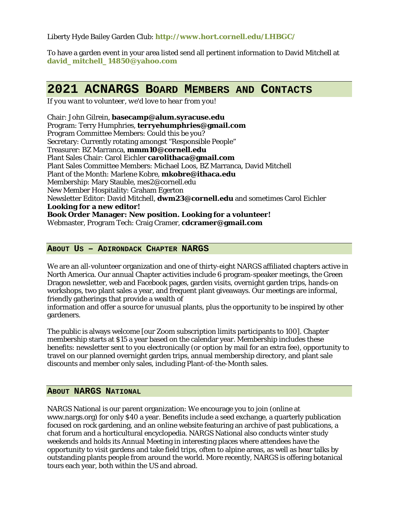Liberty Hyde Bailey Garden Club: **http://www.hort.cornell.edu/LHBGC/**

To have a garden event in your area listed send all pertinent information to David Mitchell at **david\_mitchell\_14850@yahoo.com**

# **2021 ACNARGS BOARD MEMBERS AND CONTACTS**

*If you want to volunteer, we'd love to hear from you!*

Chair: John Gilrein, **basecamp@alum.syracuse.edu** Program: Terry Humphries, **terryehumphries@gmail.com** Program Committee Members: Could this be you? Secretary: Currently rotating amongst "Responsible People" Treasurer: BZ Marranca, **mmm10@cornell.edu** Plant Sales Chair: Carol Eichler **carolithaca@gmail.com** Plant Sales Committee Members: Michael Loos, BZ Marranca, David Mitchell Plant of the Month: Marlene Kobre, **mkobre@ithaca.edu** Membership: Mary Stauble, mes2@cornell.edu New Member Hospitality: Graham Egerton Newsletter Editor: David Mitchell, **dwm23@cornell.edu** and sometimes Carol Eichler **Looking for a new editor! Book Order Manager: New position. Looking for a volunteer!** Webmaster, Program Tech: Craig Cramer, **cdcramer@gmail.com**

### **ABOUT US – ADIRONDACK CHAPTER NARGS**

We are an all-volunteer organization and one of thirty-eight NARGS affiliated chapters active in North America. Our annual Chapter activities include 6 program-speaker meetings, the Green Dragon newsletter, web and Facebook pages, garden visits, overnight garden trips, hands-on workshops, two plant sales a year, and frequent plant giveaways. Our meetings are informal, friendly gatherings that provide a wealth of

information and offer a source for unusual plants, plus the opportunity to be inspired by other gardeners.

The public is always welcome [our Zoom subscription limits participants to 100]. Chapter membership starts at \$15 a year based on the calendar year. Membership includes these benefits: newsletter sent to you electronically (or option by mail for an extra fee), opportunity to travel on our planned overnight garden trips, annual membership directory, and plant sale discounts and member only sales, including Plant-of-the-Month sales.

#### **ABOUT NARGS NATIONAL**

NARGS National is our parent organization: We encourage you to join (online at www.nargs.org) for only \$40 a year. Benefits include a seed exchange, a quarterly publication focused on rock gardening, and an online website featuring an archive of past publications, a chat forum and a horticultural encyclopedia. NARGS National also conducts winter study weekends and holds its Annual Meeting in interesting places where attendees have the opportunity to visit gardens and take field trips, often to alpine areas, as well as hear talks by outstanding plants people from around the world. More recently, NARGS is offering botanical tours each year, both within the US and abroad.